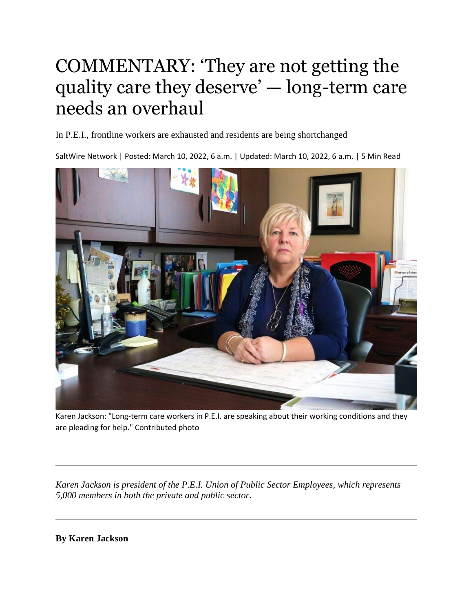## COMMENTARY: 'They are not getting the quality care they deserve' — long-term care needs an overhaul

In P.E.I., frontline workers are exhausted and residents are being shortchanged

SaltWire Network | Posted: March 10, 2022, 6 a.m. | Updated: March 10, 2022, 6 a.m. | 5 Min Read



Karen Jackson: "Long-term care workers in P.E.I. are speaking about their working conditions and they are pleading for help." Contributed photo

*Karen Jackson is president of the P.E.I. Union of Public Sector Employees, which represents 5,000 members in both the private and public sector.*

**By Karen Jackson**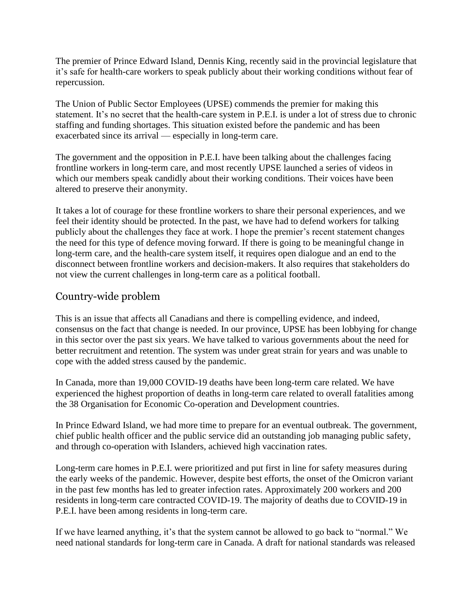The premier of Prince Edward Island, Dennis King, recently said in the provincial legislature that it's safe for health-care workers to speak publicly about their working conditions without fear of repercussion.

The Union of Public Sector Employees (UPSE) commends the premier for making this statement. It's no secret that the health-care system in P.E.I. is under a lot of stress due to chronic staffing and funding shortages. This situation existed before the pandemic and has been exacerbated since its arrival — especially in long-term care.

The government and the opposition in P.E.I. have been talking about the challenges facing frontline workers in long-term care, and most recently UPSE launched a series of videos in which our members speak candidly about their working conditions. Their voices have been altered to preserve their anonymity.

It takes a lot of courage for these frontline workers to share their personal experiences, and we feel their identity should be protected. In the past, we have had to defend workers for talking publicly about the challenges they face at work. I hope the premier's recent statement changes the need for this type of defence moving forward. If there is going to be meaningful change in long-term care, and the health-care system itself, it requires open dialogue and an end to the disconnect between frontline workers and decision-makers. It also requires that stakeholders do not view the current challenges in long-term care as a political football.

## Country-wide problem

This is an issue that affects all Canadians and there is compelling evidence, and indeed, consensus on the fact that change is needed. In our province, UPSE has been lobbying for change in this sector over the past six years. We have talked to various governments about the need for better recruitment and retention. The system was under great strain for years and was unable to cope with the added stress caused by the pandemic.

In Canada, more than 19,000 COVID-19 deaths have been long-term care related. We have experienced the highest proportion of deaths in long-term care related to overall fatalities among the 38 Organisation for Economic Co-operation and Development countries.

In Prince Edward Island, we had more time to prepare for an eventual outbreak. The government, chief public health officer and the public service did an outstanding job managing public safety, and through co-operation with Islanders, achieved high vaccination rates.

Long-term care homes in P.E.I. were prioritized and put first in line for safety measures during the early weeks of the pandemic. However, despite best efforts, the onset of the Omicron variant in the past few months has led to greater infection rates. Approximately 200 workers and 200 residents in long-term care contracted COVID-19. The majority of deaths due to COVID-19 in P.E.I. have been among residents in long-term care.

If we have learned anything, it's that the system cannot be allowed to go back to "normal." We need national standards for long-term care in Canada. A draft for national standards was released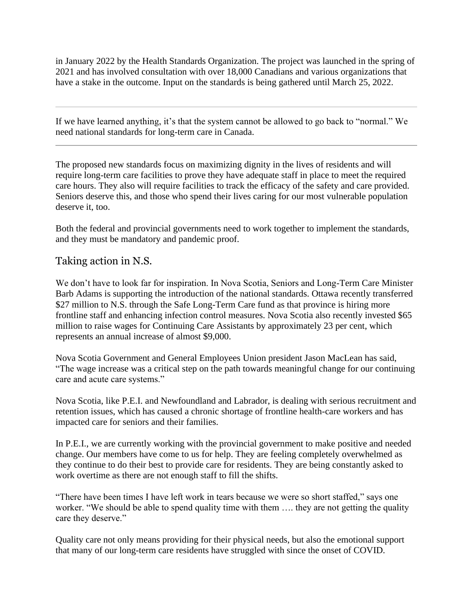in January 2022 by the Health Standards Organization. The project was launched in the spring of 2021 and has involved consultation with over 18,000 Canadians and various organizations that have a stake in the outcome. Input on the standards is being gathered until March 25, 2022.

If we have learned anything, it's that the system cannot be allowed to go back to "normal." We need national standards for long-term care in Canada.

The proposed new standards focus on maximizing dignity in the lives of residents and will require long-term care facilities to prove they have adequate staff in place to meet the required care hours. They also will require facilities to track the efficacy of the safety and care provided. Seniors deserve this, and those who spend their lives caring for our most vulnerable population deserve it, too.

Both the federal and provincial governments need to work together to implement the standards, and they must be mandatory and pandemic proof.

## Taking action in N.S.

We don't have to look far for inspiration. In Nova Scotia, Seniors and Long-Term Care Minister Barb Adams is supporting the introduction of the national standards. Ottawa recently transferred \$27 million to N.S. through the Safe Long-Term Care fund as that province is hiring more frontline staff and enhancing infection control measures. Nova Scotia also recently invested \$65 million to raise wages for Continuing Care Assistants by approximately 23 per cent, which represents an annual increase of almost \$9,000.

Nova Scotia Government and General Employees Union president Jason MacLean has said, "The wage increase was a critical step on the path towards meaningful change for our continuing care and acute care systems."

Nova Scotia, like P.E.I. and Newfoundland and Labrador, is dealing with serious recruitment and retention issues, which has caused a chronic shortage of frontline health-care workers and has impacted care for seniors and their families.

In P.E.I., we are currently working with the provincial government to make positive and needed change. Our members have come to us for help. They are feeling completely overwhelmed as they continue to do their best to provide care for residents. They are being constantly asked to work overtime as there are not enough staff to fill the shifts.

"There have been times I have left work in tears because we were so short staffed," says one worker. "We should be able to spend quality time with them …. they are not getting the quality care they deserve."

Quality care not only means providing for their physical needs, but also the emotional support that many of our long-term care residents have struggled with since the onset of COVID.